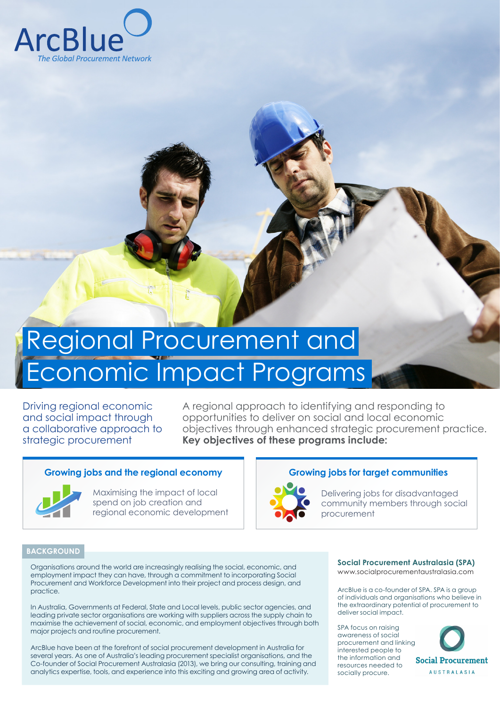

# Regional Procurement and Economic Impact Programs

Driving regional economic and social impact through a collaborative approach to strategic procurement

A regional approach to identifying and responding to opportunities to deliver on social and local economic objectives through enhanced strategic procurement practice. **Key objectives of these programs include:**

# Growing jobs and the regional economy **Growing jobs for target communities**



Maximising the impact of local spend on job creation and regional economic development

# **BACKGROUND**

Organisations around the world are increasingly realising the social, economic, and employment impact they can have, through a commitment to incorporating Social Procurement and Workforce Development into their project and process design, and practice.

In Australia, Governments at Federal, State and Local levels, public sector agencies, and leading private sector organisations are working with suppliers across the supply chain to maximise the achievement of social, economic, and employment objectives through both major projects and routine procurement.

ArcBlue have been at the forefront of social procurement development in Australia for several years. As one of Australia's leading procurement specialist organisations, and the Co-founder of Social Procurement Australasia (2013), we bring our consulting, training and analytics expertise, tools, and experience into this exciting and growing area of activity.



Delivering jobs for disadvantaged community members through social procurement

# **Social Procurement Australasia (SPA)**

www.socialprocurementaustralasia.com

ArcBlue is a co-founder of SPA. SPA is a group of individuals and organisations who believe in the extraordinary potential of procurement to deliver social impact.

SPA focus on raising awareness of social procurement and linking interested people to the information and resources needed to socially procure.